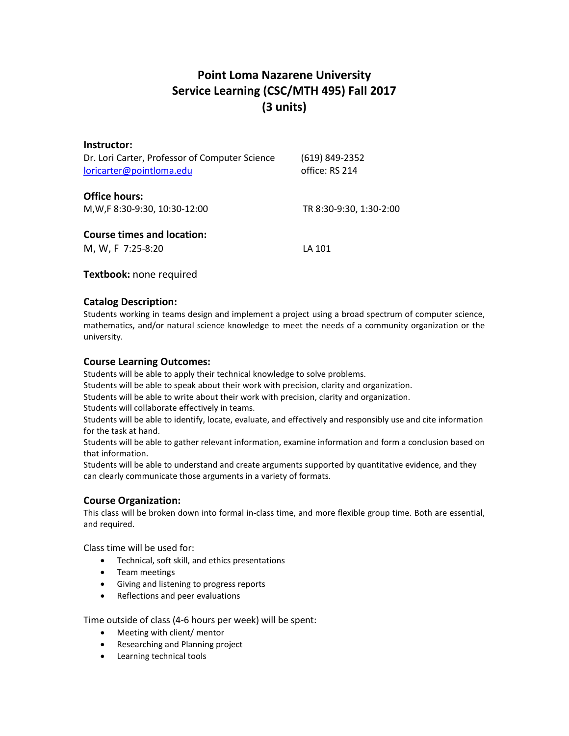# **Point Loma Nazarene University Service Learning (CSC/MTH 495) Fall 2017 (3 units)**

| Instructor:<br>Dr. Lori Carter, Professor of Computer Science<br>loricarter@pointloma.edu | (619) 849-2352<br>office: RS 214 |
|-------------------------------------------------------------------------------------------|----------------------------------|
| <b>Office hours:</b><br>M, W, F 8:30-9:30, 10:30-12:00                                    | TR 8:30-9:30, 1:30-2:00          |
| <b>Course times and location:</b><br>M, W, F 7:25-8:20                                    | LA 101                           |

#### **Textbook:** none required

#### **Catalog Description:**

Students working in teams design and implement a project using a broad spectrum of computer science, mathematics, and/or natural science knowledge to meet the needs of a community organization or the university.

# **Course Learning Outcomes:**

Students will be able to apply their technical knowledge to solve problems.

Students will be able to speak about their work with precision, clarity and organization.

Students will be able to write about their work with precision, clarity and organization.

Students will collaborate effectively in teams.

Students will be able to identify, locate, evaluate, and effectively and responsibly use and cite information for the task at hand.

Students will be able to gather relevant information, examine information and form a conclusion based on that information.

Students will be able to understand and create arguments supported by quantitative evidence, and they can clearly communicate those arguments in a variety of formats.

# **Course Organization:**

This class will be broken down into formal in-class time, and more flexible group time. Both are essential, and required.

Class time will be used for:

- Technical, soft skill, and ethics presentations
- Team meetings
- Giving and listening to progress reports
- Reflections and peer evaluations

Time outside of class (4-6 hours per week) will be spent:

- Meeting with client/ mentor
- Researching and Planning project
- Learning technical tools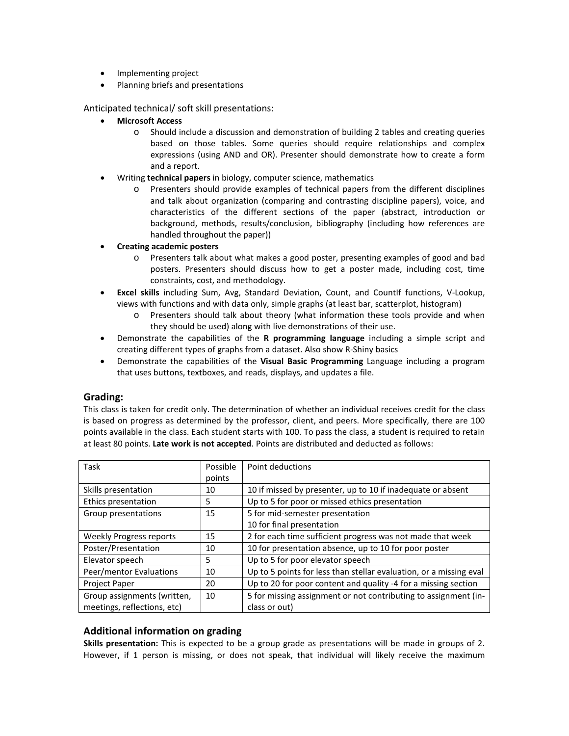- Implementing project
- Planning briefs and presentations

Anticipated technical/ soft skill presentations:

- **Microsoft Access**
	- o Should include a discussion and demonstration of building 2 tables and creating queries based on those tables. Some queries should require relationships and complex expressions (using AND and OR). Presenter should demonstrate how to create a form and a report.
- Writing **technical papers** in biology, computer science, mathematics
	- o Presenters should provide examples of technical papers from the different disciplines and talk about organization (comparing and contrasting discipline papers), voice, and characteristics of the different sections of the paper (abstract, introduction or background, methods, results/conclusion, bibliography (including how references are handled throughout the paper))
- **Creating academic posters**
	- o Presenters talk about what makes a good poster, presenting examples of good and bad posters. Presenters should discuss how to get a poster made, including cost, time constraints, cost, and methodology.
- **Excel skills** including Sum, Avg, Standard Deviation, Count, and CountIf functions, V-Lookup, views with functions and with data only, simple graphs (at least bar, scatterplot, histogram)
	- o Presenters should talk about theory (what information these tools provide and when they should be used) along with live demonstrations of their use.
- Demonstrate the capabilities of the **R programming language** including a simple script and creating different types of graphs from a dataset. Also show R-Shiny basics
- Demonstrate the capabilities of the **Visual Basic Programming** Language including a program that uses buttons, textboxes, and reads, displays, and updates a file.

#### **Grading:**

This class is taken for credit only. The determination of whether an individual receives credit for the class is based on progress as determined by the professor, client, and peers. More specifically, there are 100 points available in the class. Each student starts with 100. To pass the class, a student is required to retain at least 80 points. **Late work is not accepted**. Points are distributed and deducted as follows:

| Task                           | Possible | Point deductions                                                   |
|--------------------------------|----------|--------------------------------------------------------------------|
|                                | points   |                                                                    |
| Skills presentation            | 10       | 10 if missed by presenter, up to 10 if inadequate or absent        |
| Ethics presentation            | 5        | Up to 5 for poor or missed ethics presentation                     |
| Group presentations            | 15       | 5 for mid-semester presentation                                    |
|                                |          | 10 for final presentation                                          |
| <b>Weekly Progress reports</b> | 15       | 2 for each time sufficient progress was not made that week         |
| Poster/Presentation            | 10       | 10 for presentation absence, up to 10 for poor poster              |
| Elevator speech                | 5        | Up to 5 for poor elevator speech                                   |
| Peer/mentor Evaluations        | 10       | Up to 5 points for less than stellar evaluation, or a missing eval |
| Project Paper                  | 20       | Up to 20 for poor content and quality -4 for a missing section     |
| Group assignments (written,    | 10       | 5 for missing assignment or not contributing to assignment (in-    |
| meetings, reflections, etc)    |          | class or out)                                                      |

#### **Additional information on grading**

**Skills presentation:** This is expected to be a group grade as presentations will be made in groups of 2. However, if 1 person is missing, or does not speak, that individual will likely receive the maximum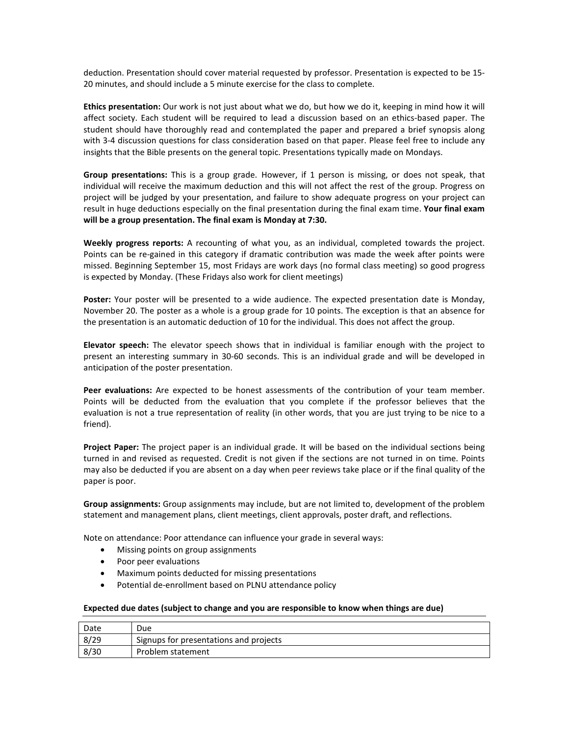deduction. Presentation should cover material requested by professor. Presentation is expected to be 15- 20 minutes, and should include a 5 minute exercise for the class to complete.

**Ethics presentation:** Our work is not just about what we do, but how we do it, keeping in mind how it will affect society. Each student will be required to lead a discussion based on an ethics-based paper. The student should have thoroughly read and contemplated the paper and prepared a brief synopsis along with 3-4 discussion questions for class consideration based on that paper. Please feel free to include any insights that the Bible presents on the general topic. Presentations typically made on Mondays.

**Group presentations:** This is a group grade. However, if 1 person is missing, or does not speak, that individual will receive the maximum deduction and this will not affect the rest of the group. Progress on project will be judged by your presentation, and failure to show adequate progress on your project can result in huge deductions especially on the final presentation during the final exam time. **Your final exam will be a group presentation. The final exam is Monday at 7:30.**

**Weekly progress reports:** A recounting of what you, as an individual, completed towards the project. Points can be re-gained in this category if dramatic contribution was made the week after points were missed. Beginning September 15, most Fridays are work days (no formal class meeting) so good progress is expected by Monday. (These Fridays also work for client meetings)

**Poster:** Your poster will be presented to a wide audience. The expected presentation date is Monday, November 20. The poster as a whole is a group grade for 10 points. The exception is that an absence for the presentation is an automatic deduction of 10 for the individual. This does not affect the group.

**Elevator speech:** The elevator speech shows that in individual is familiar enough with the project to present an interesting summary in 30-60 seconds. This is an individual grade and will be developed in anticipation of the poster presentation.

**Peer evaluations:** Are expected to be honest assessments of the contribution of your team member. Points will be deducted from the evaluation that you complete if the professor believes that the evaluation is not a true representation of reality (in other words, that you are just trying to be nice to a friend).

**Project Paper:** The project paper is an individual grade. It will be based on the individual sections being turned in and revised as requested. Credit is not given if the sections are not turned in on time. Points may also be deducted if you are absent on a day when peer reviews take place or if the final quality of the paper is poor.

**Group assignments:** Group assignments may include, but are not limited to, development of the problem statement and management plans, client meetings, client approvals, poster draft, and reflections.

Note on attendance: Poor attendance can influence your grade in several ways:

- Missing points on group assignments
- Poor peer evaluations
- Maximum points deducted for missing presentations
- Potential de-enrollment based on PLNU attendance policy

#### **Expected due dates (subject to change and you are responsible to know when things are due)**

| Date | Due                                    |
|------|----------------------------------------|
| 8/29 | Signups for presentations and projects |
| 8/30 | Problem statement                      |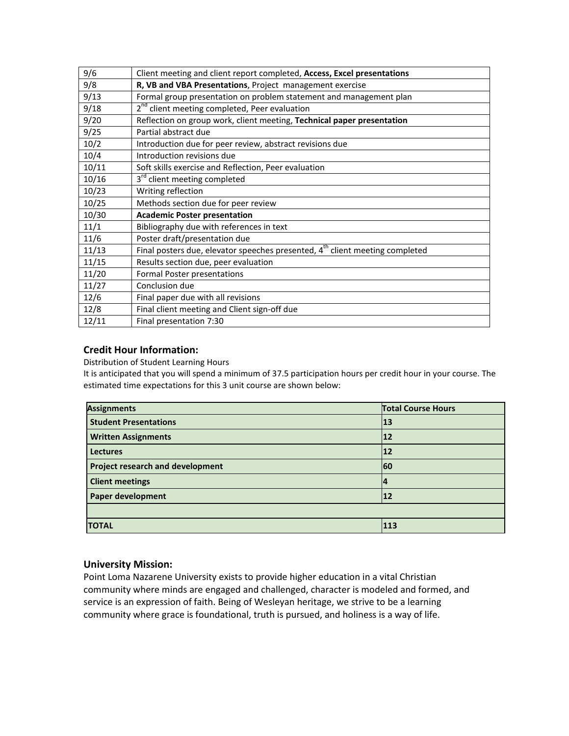| 9/6   | Client meeting and client report completed, Access, Excel presentations                  |
|-------|------------------------------------------------------------------------------------------|
| 9/8   | R, VB and VBA Presentations, Project management exercise                                 |
| 9/13  | Formal group presentation on problem statement and management plan                       |
| 9/18  | 2 <sup>nd</sup> client meeting completed, Peer evaluation                                |
| 9/20  | Reflection on group work, client meeting, Technical paper presentation                   |
| 9/25  | Partial abstract due                                                                     |
| 10/2  | Introduction due for peer review, abstract revisions due                                 |
| 10/4  | Introduction revisions due                                                               |
| 10/11 | Soft skills exercise and Reflection, Peer evaluation                                     |
| 10/16 | 3 <sup>rd</sup> client meeting completed                                                 |
| 10/23 | Writing reflection                                                                       |
| 10/25 | Methods section due for peer review                                                      |
| 10/30 | <b>Academic Poster presentation</b>                                                      |
| 11/1  | Bibliography due with references in text                                                 |
| 11/6  | Poster draft/presentation due                                                            |
| 11/13 | Final posters due, elevator speeches presented, 4 <sup>th</sup> client meeting completed |
| 11/15 | Results section due, peer evaluation                                                     |
| 11/20 | <b>Formal Poster presentations</b>                                                       |
| 11/27 | Conclusion due                                                                           |
| 12/6  | Final paper due with all revisions                                                       |
| 12/8  | Final client meeting and Client sign-off due                                             |
| 12/11 | Final presentation 7:30                                                                  |

# **Credit Hour Information:**

Distribution of Student Learning Hours

It is anticipated that you will spend a minimum of 37.5 participation hours per credit hour in your course. The estimated time expectations for this 3 unit course are shown below:

| <b>Assignments</b>                      | <b>Total Course Hours</b> |  |
|-----------------------------------------|---------------------------|--|
| <b>Student Presentations</b>            | 13                        |  |
| <b>Written Assignments</b>              | 12                        |  |
| <b>Lectures</b>                         | 12                        |  |
| <b>Project research and development</b> | <b>60</b>                 |  |
| <b>Client meetings</b>                  | 14                        |  |
| <b>Paper development</b>                | $12$                      |  |
|                                         |                           |  |
| <b>TOTAL</b>                            | 113                       |  |

#### **University Mission:**

Point Loma Nazarene University exists to provide higher education in a vital Christian community where minds are engaged and challenged, character is modeled and formed, and service is an expression of faith. Being of Wesleyan heritage, we strive to be a learning community where grace is foundational, truth is pursued, and holiness is a way of life.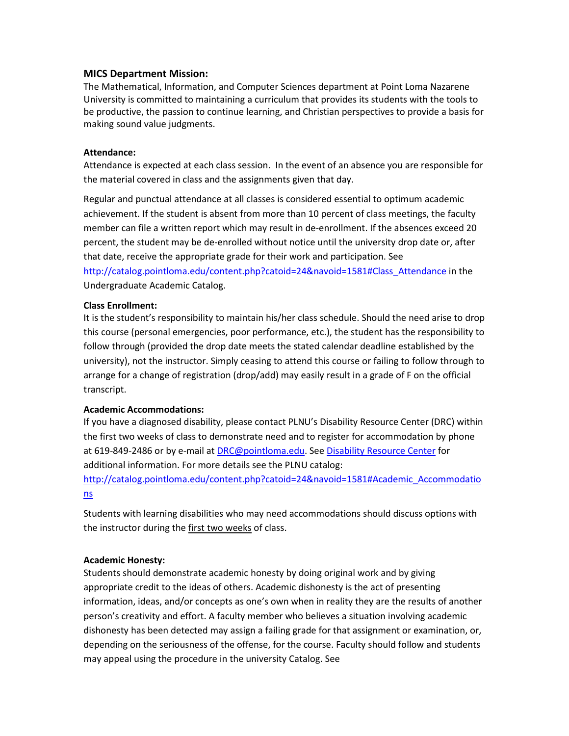#### **MICS Department Mission:**

The Mathematical, Information, and Computer Sciences department at Point Loma Nazarene University is committed to maintaining a curriculum that provides its students with the tools to be productive, the passion to continue learning, and Christian perspectives to provide a basis for making sound value judgments.

#### **Attendance:**

Attendance is expected at each class session. In the event of an absence you are responsible for the material covered in class and the assignments given that day.

Regular and punctual attendance at all classes is considered essential to optimum academic achievement. If the student is absent from more than 10 percent of class meetings, the faculty member can file a written report which may result in de-enrollment. If the absences exceed 20 percent, the student may be de-enrolled without notice until the university drop date or, after that date, receive the appropriate grade for their work and participation. See

[http://catalog.pointloma.edu/content.php?catoid=24&navoid=1581#Class\\_Attendance](http://catalog.pointloma.edu/content.php?catoid=24&navoid=1581#Class_Attendance) in the Undergraduate Academic Catalog.

#### **Class Enrollment:**

It is the student's responsibility to maintain his/her class schedule. Should the need arise to drop this course (personal emergencies, poor performance, etc.), the student has the responsibility to follow through (provided the drop date meets the stated calendar deadline established by the university), not the instructor. Simply ceasing to attend this course or failing to follow through to arrange for a change of registration (drop/add) may easily result in a grade of F on the official transcript.

#### **Academic Accommodations:**

If you have a diagnosed disability, please contact PLNU's Disability Resource Center (DRC) within the first two weeks of class to demonstrate need and to register for accommodation by phone at 619-849-2486 or by e-mail a[t DRC@pointloma.edu.](mailto:DRC@pointloma.edu) Se[e Disability Resource Center](http://www.pointloma.edu/experience/offices/administrative-offices/academic-advising-office/disability-resource-center) for additional information. For more details see the PLNU catalog:

[http://catalog.pointloma.edu/content.php?catoid=24&navoid=1581#Academic\\_Accommodatio](http://catalog.pointloma.edu/content.php?catoid=24&navoid=1581#Academic_Accommodations) [ns](http://catalog.pointloma.edu/content.php?catoid=24&navoid=1581#Academic_Accommodations) 

Students with learning disabilities who may need accommodations should discuss options with the instructor during the first two weeks of class.

#### **Academic Honesty:**

Students should demonstrate academic honesty by doing original work and by giving appropriate credit to the ideas of others. Academic dishonesty is the act of presenting information, ideas, and/or concepts as one's own when in reality they are the results of another person's creativity and effort. A faculty member who believes a situation involving academic dishonesty has been detected may assign a failing grade for that assignment or examination, or, depending on the seriousness of the offense, for the course. Faculty should follow and students may appeal using the procedure in the university Catalog. See